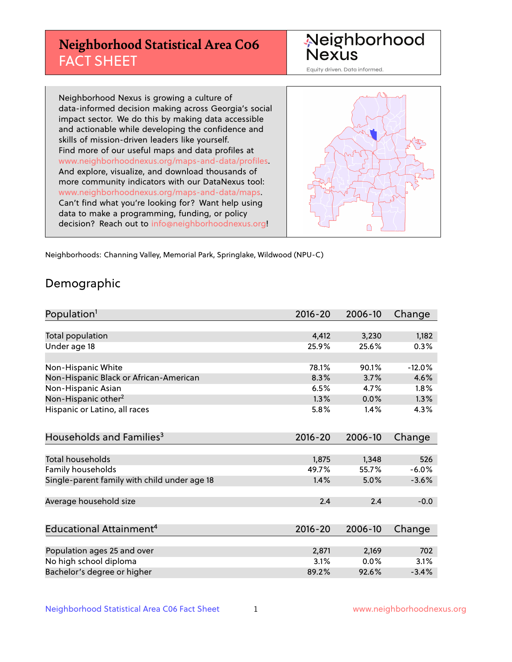# **Neighborhood Statistical Area C06** FACT SHEET



Equity driven. Data informed.

Neighborhood Nexus is growing a culture of data-informed decision making across Georgia's social impact sector. We do this by making data accessible and actionable while developing the confidence and skills of mission-driven leaders like yourself. Find more of our useful maps and data profiles at www.neighborhoodnexus.org/maps-and-data/profiles. And explore, visualize, and download thousands of more community indicators with our DataNexus tool: www.neighborhoodnexus.org/maps-and-data/maps. Can't find what you're looking for? Want help using data to make a programming, funding, or policy decision? Reach out to [info@neighborhoodnexus.org!](mailto:info@neighborhoodnexus.org)



Neighborhoods: Channing Valley, Memorial Park, Springlake, Wildwood (NPU-C)

### Demographic

| Population <sup>1</sup>                      | $2016 - 20$ | 2006-10 | Change   |
|----------------------------------------------|-------------|---------|----------|
|                                              |             |         |          |
| Total population                             | 4,412       | 3,230   | 1,182    |
| Under age 18                                 | 25.9%       | 25.6%   | 0.3%     |
|                                              |             |         |          |
| Non-Hispanic White                           | 78.1%       | 90.1%   | $-12.0%$ |
| Non-Hispanic Black or African-American       | 8.3%        | 3.7%    | 4.6%     |
| Non-Hispanic Asian                           | 6.5%        | 4.7%    | 1.8%     |
| Non-Hispanic other <sup>2</sup>              | 1.3%        | 0.0%    | 1.3%     |
| Hispanic or Latino, all races                | 5.8%        | $1.4\%$ | 4.3%     |
|                                              |             |         |          |
| Households and Families <sup>3</sup>         | $2016 - 20$ | 2006-10 | Change   |
|                                              |             |         |          |
| <b>Total households</b>                      | 1,875       | 1,348   | 526      |
| Family households                            | 49.7%       | 55.7%   | $-6.0%$  |
| Single-parent family with child under age 18 | 1.4%        | 5.0%    | $-3.6%$  |
|                                              |             |         |          |
| Average household size                       | 2.4         | 2.4     | $-0.0$   |
|                                              |             |         |          |
| Educational Attainment <sup>4</sup>          | $2016 - 20$ | 2006-10 | Change   |
|                                              |             |         |          |
| Population ages 25 and over                  | 2,871       | 2,169   | 702      |
| No high school diploma                       | 3.1%        | $0.0\%$ | 3.1%     |
| Bachelor's degree or higher                  | 89.2%       | 92.6%   | $-3.4%$  |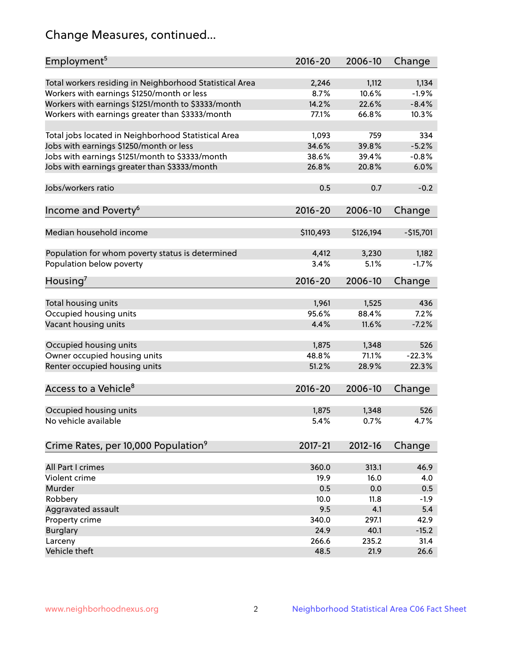# Change Measures, continued...

| Employment <sup>5</sup>                                 | $2016 - 20$   | 2006-10        | Change           |
|---------------------------------------------------------|---------------|----------------|------------------|
|                                                         |               |                |                  |
| Total workers residing in Neighborhood Statistical Area | 2,246<br>8.7% | 1,112<br>10.6% | 1,134<br>$-1.9%$ |
| Workers with earnings \$1250/month or less              | 14.2%         | 22.6%          | $-8.4%$          |
| Workers with earnings \$1251/month to \$3333/month      | 77.1%         | 66.8%          | 10.3%            |
| Workers with earnings greater than \$3333/month         |               |                |                  |
| Total jobs located in Neighborhood Statistical Area     | 1,093         | 759            | 334              |
| Jobs with earnings \$1250/month or less                 | 34.6%         | 39.8%          | $-5.2%$          |
| Jobs with earnings \$1251/month to \$3333/month         | 38.6%         | 39.4%          | $-0.8%$          |
| Jobs with earnings greater than \$3333/month            | 26.8%         | 20.8%          | 6.0%             |
|                                                         |               |                |                  |
| Jobs/workers ratio                                      | 0.5           | 0.7            | $-0.2$           |
|                                                         |               |                |                  |
| Income and Poverty <sup>6</sup>                         | 2016-20       | 2006-10        | Change           |
|                                                         |               |                |                  |
| Median household income                                 | \$110,493     | \$126,194      | $-$15,701$       |
|                                                         |               |                |                  |
| Population for whom poverty status is determined        | 4,412         | 3,230          | 1,182            |
| Population below poverty                                | 3.4%          | 5.1%           | $-1.7%$          |
| Housing <sup>7</sup>                                    | 2016-20       | 2006-10        | Change           |
|                                                         |               |                |                  |
| Total housing units                                     | 1,961         | 1,525          | 436              |
| Occupied housing units                                  | 95.6%         | 88.4%          | 7.2%             |
| Vacant housing units                                    | 4.4%          | 11.6%          | $-7.2%$          |
|                                                         |               |                |                  |
| Occupied housing units                                  | 1,875         | 1,348          | 526              |
| Owner occupied housing units                            | 48.8%         | 71.1%          | $-22.3%$         |
| Renter occupied housing units                           | 51.2%         | 28.9%          | 22.3%            |
|                                                         |               |                |                  |
| Access to a Vehicle <sup>8</sup>                        | $2016 - 20$   | 2006-10        | Change           |
|                                                         |               |                |                  |
| Occupied housing units                                  | 1,875         | 1,348          | 526              |
| No vehicle available                                    | 5.4%          | 0.7%           | 4.7%             |
|                                                         |               |                |                  |
| Crime Rates, per 10,000 Population <sup>9</sup>         | 2017-21       | 2012-16        | Change           |
|                                                         |               |                |                  |
| All Part I crimes                                       | 360.0         | 313.1          | 46.9             |
| Violent crime                                           | 19.9          | 16.0           | 4.0              |
| Murder                                                  | 0.5           | 0.0            | 0.5              |
| Robbery                                                 | 10.0          | 11.8           | $-1.9$           |
| Aggravated assault                                      | 9.5           | 4.1            | 5.4              |
| Property crime                                          | 340.0         | 297.1          | 42.9             |
| <b>Burglary</b>                                         | 24.9          | 40.1           | $-15.2$          |
| Larceny                                                 | 266.6         | 235.2          | 31.4             |
| Vehicle theft                                           | 48.5          | 21.9           | 26.6             |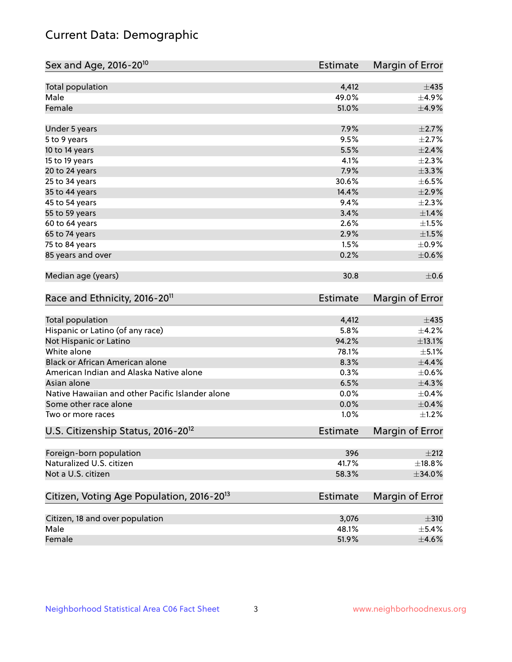# Current Data: Demographic

| Sex and Age, 2016-20 <sup>10</sup>                    | <b>Estimate</b> | Margin of Error        |
|-------------------------------------------------------|-----------------|------------------------|
| Total population                                      | 4,412           | ±435                   |
| Male                                                  | 49.0%           | $\pm$ 4.9%             |
| Female                                                | 51.0%           | $\pm$ 4.9%             |
| Under 5 years                                         | 7.9%            | $\pm 2.7\%$            |
| 5 to 9 years                                          | 9.5%            | $\pm 2.7\%$            |
| 10 to 14 years                                        | 5.5%            | $\pm 2.4\%$            |
| 15 to 19 years                                        | 4.1%            | $\pm 2.3\%$            |
| 20 to 24 years                                        | 7.9%            | $\pm$ 3.3%             |
| 25 to 34 years                                        | 30.6%           | $\pm$ 6.5%             |
| 35 to 44 years                                        | 14.4%           | $\pm 2.9\%$            |
| 45 to 54 years                                        | 9.4%            | $\pm 2.3\%$            |
| 55 to 59 years                                        | 3.4%            | ±1.4%                  |
| 60 to 64 years                                        | 2.6%            | $\pm 1.5\%$            |
| 65 to 74 years                                        | 2.9%            | $\pm1.5\%$             |
| 75 to 84 years                                        | 1.5%            | $\pm$ 0.9%             |
| 85 years and over                                     | 0.2%            | $\pm$ 0.6%             |
| Median age (years)                                    | 30.8            | $\pm$ 0.6              |
| Race and Ethnicity, 2016-20 <sup>11</sup>             | <b>Estimate</b> | Margin of Error        |
| <b>Total population</b>                               | 4,412           | ±435                   |
| Hispanic or Latino (of any race)                      | 5.8%            | $\pm$ 4.2%             |
| Not Hispanic or Latino                                | 94.2%           | ±13.1%                 |
| White alone                                           | 78.1%           | $\pm$ 5.1%             |
| Black or African American alone                       | 8.3%            | $\pm$ 4.4%             |
| American Indian and Alaska Native alone               | 0.3%            | $\pm$ 0.6%             |
| Asian alone                                           | 6.5%            | ±4.3%                  |
| Native Hawaiian and other Pacific Islander alone      | 0.0%            | $\pm$ 0.4%             |
| Some other race alone                                 | 0.0%            | $\pm$ 0.4%             |
| Two or more races                                     | 1.0%            | $\pm$ 1.2%             |
| U.S. Citizenship Status, 2016-20 <sup>12</sup>        | Estimate        | <b>Margin of Error</b> |
| Foreign-born population                               | 396             | ±212                   |
| Naturalized U.S. citizen                              | 41.7%           | ±18.8%                 |
| Not a U.S. citizen                                    | 58.3%           | ±34.0%                 |
| Citizen, Voting Age Population, 2016-20 <sup>13</sup> | <b>Estimate</b> | Margin of Error        |
| Citizen, 18 and over population                       | 3,076           | $\pm$ 310              |
| Male                                                  | 48.1%           | $\pm$ 5.4%             |
| Female                                                | 51.9%           | $\pm 4.6\%$            |
|                                                       |                 |                        |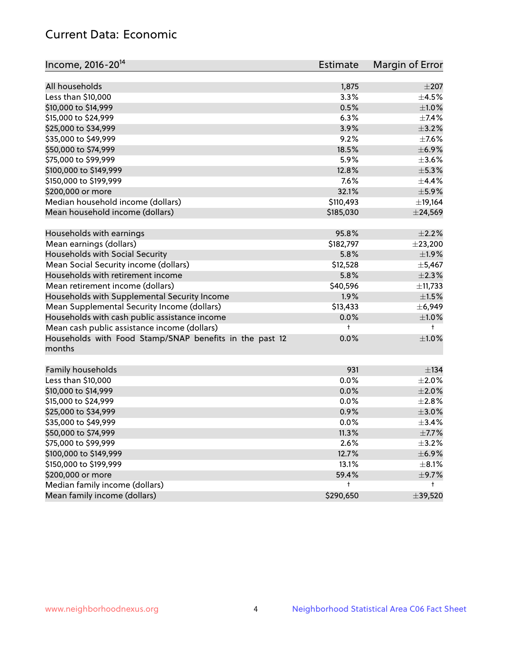# Current Data: Economic

| Income, 2016-20 <sup>14</sup>                                     | Estimate  | Margin of Error |
|-------------------------------------------------------------------|-----------|-----------------|
|                                                                   |           |                 |
| All households                                                    | 1,875     | $\pm 207$       |
| Less than \$10,000                                                | 3.3%      | $\pm$ 4.5%      |
| \$10,000 to \$14,999                                              | 0.5%      | $\pm 1.0\%$     |
| \$15,000 to \$24,999                                              | 6.3%      | ±7.4%           |
| \$25,000 to \$34,999                                              | 3.9%      | $\pm$ 3.2%      |
| \$35,000 to \$49,999                                              | 9.2%      | $\pm$ 7.6%      |
| \$50,000 to \$74,999                                              | 18.5%     | $\pm$ 6.9%      |
| \$75,000 to \$99,999                                              | 5.9%      | $\pm 3.6\%$     |
| \$100,000 to \$149,999                                            | 12.8%     | $\pm$ 5.3%      |
| \$150,000 to \$199,999                                            | 7.6%      | $\pm$ 4.4%      |
| \$200,000 or more                                                 | 32.1%     | $\pm$ 5.9%      |
| Median household income (dollars)                                 | \$110,493 | ±19,164         |
| Mean household income (dollars)                                   | \$185,030 | $±$ 24,569      |
| Households with earnings                                          | 95.8%     | $\pm 2.2\%$     |
| Mean earnings (dollars)                                           | \$182,797 | $±$ 23,200      |
| Households with Social Security                                   | 5.8%      | $\pm 1.9\%$     |
| Mean Social Security income (dollars)                             | \$12,528  | $\pm$ 5,467     |
| Households with retirement income                                 | 5.8%      | $\pm 2.3\%$     |
| Mean retirement income (dollars)                                  | \$40,596  | ±11,733         |
| Households with Supplemental Security Income                      | 1.9%      | $\pm 1.5\%$     |
| Mean Supplemental Security Income (dollars)                       | \$13,433  | ± 6,949         |
| Households with cash public assistance income                     | 0.0%      | $\pm1.0\%$      |
| Mean cash public assistance income (dollars)                      | t         | $\ddagger$      |
| Households with Food Stamp/SNAP benefits in the past 12<br>months | 0.0%      | $\pm1.0\%$      |
| Family households                                                 | 931       | ±134            |
| Less than \$10,000                                                | 0.0%      | $\pm 2.0\%$     |
| \$10,000 to \$14,999                                              | 0.0%      | $\pm 2.0\%$     |
| \$15,000 to \$24,999                                              | 0.0%      | $\pm 2.8\%$     |
| \$25,000 to \$34,999                                              | 0.9%      | $\pm 3.0\%$     |
| \$35,000 to \$49,999                                              | 0.0%      | ±3.4%           |
| \$50,000 to \$74,999                                              | 11.3%     | $\pm$ 7.7%      |
| \$75,000 to \$99,999                                              | 2.6%      | $\pm$ 3.2%      |
| \$100,000 to \$149,999                                            | 12.7%     | $\pm$ 6.9%      |
| \$150,000 to \$199,999                                            | 13.1%     | $\pm$ 8.1%      |
| \$200,000 or more                                                 | 59.4%     | $\pm$ 9.7%      |
| Median family income (dollars)                                    | t         | t               |
| Mean family income (dollars)                                      | \$290,650 | ±39,520         |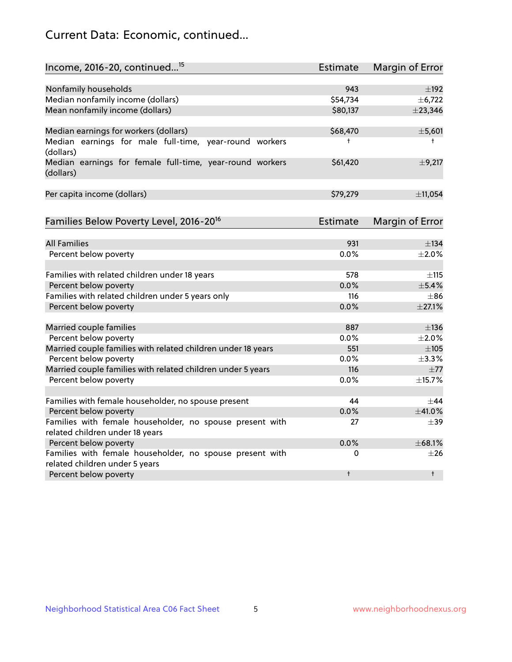# Current Data: Economic, continued...

| Income, 2016-20, continued <sup>15</sup>                              | <b>Estimate</b> | Margin of Error        |
|-----------------------------------------------------------------------|-----------------|------------------------|
|                                                                       |                 |                        |
| Nonfamily households                                                  | 943             | $\pm$ 192              |
| Median nonfamily income (dollars)                                     | \$54,734        | ± 6,722                |
| Mean nonfamily income (dollars)                                       | \$80,137        | $±$ 23,346             |
| Median earnings for workers (dollars)                                 | \$68,470        | ±5,601                 |
| Median earnings for male full-time, year-round workers<br>(dollars)   | t               | $\ddagger$             |
| Median earnings for female full-time, year-round workers<br>(dollars) | \$61,420        | ±9,217                 |
| Per capita income (dollars)                                           | \$79,279        | ±11,054                |
| Families Below Poverty Level, 2016-20 <sup>16</sup>                   | Estimate        | <b>Margin of Error</b> |
|                                                                       |                 |                        |
| <b>All Families</b>                                                   | 931             | $\pm$ 134              |
| Percent below poverty                                                 | 0.0%            | $\pm 2.0\%$            |
| Families with related children under 18 years                         | 578             | $\pm$ 115              |
| Percent below poverty                                                 | 0.0%            | $\pm$ 5.4%             |
| Families with related children under 5 years only                     | 116             | $\pm$ 86               |
| Percent below poverty                                                 | 0.0%            | ±27.1%                 |
| Married couple families                                               | 887             | $\pm$ 136              |
| Percent below poverty                                                 | 0.0%            | $\pm 2.0\%$            |
| Married couple families with related children under 18 years          | 551             | $\pm 105$              |
| Percent below poverty                                                 | $0.0\%$         | ±3.3%                  |
| Married couple families with related children under 5 years           | 116             | ±77                    |
| Percent below poverty                                                 | $0.0\%$         | ±15.7%                 |
| Families with female householder, no spouse present                   | 44              | $\pm$ 44               |
| Percent below poverty                                                 | 0.0%            | ±41.0%                 |
| Families with female householder, no spouse present with              | 27              | $\pm$ 39               |
| related children under 18 years                                       |                 |                        |
| Percent below poverty                                                 | 0.0%            | ±68.1%                 |
| Families with female householder, no spouse present with              | 0               | $\pm 26$               |
| related children under 5 years                                        |                 |                        |
| Percent below poverty                                                 | $\ddagger$      | $\ddagger$             |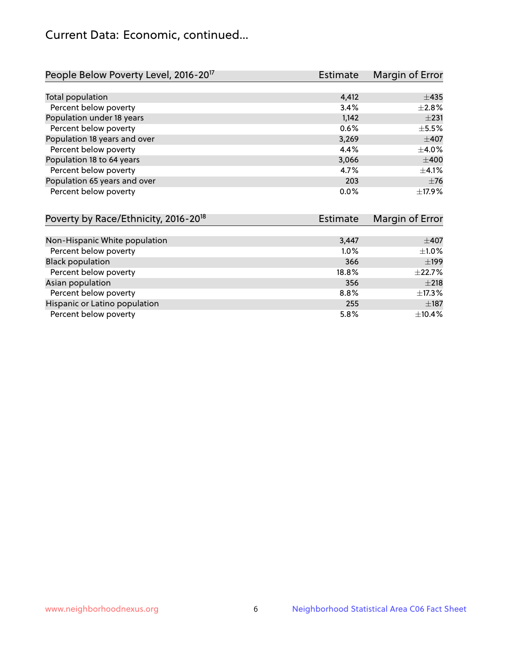# Current Data: Economic, continued...

| People Below Poverty Level, 2016-20 <sup>17</sup> | <b>Estimate</b> | Margin of Error |
|---------------------------------------------------|-----------------|-----------------|
|                                                   |                 |                 |
| Total population                                  | 4,412           | $\pm 435$       |
| Percent below poverty                             | 3.4%            | $+2.8%$         |
| Population under 18 years                         | 1,142           | $\pm 231$       |
| Percent below poverty                             | 0.6%            | $\pm$ 5.5%      |
| Population 18 years and over                      | 3,269           | $\pm$ 407       |
| Percent below poverty                             | 4.4%            | $\pm 4.0\%$     |
| Population 18 to 64 years                         | 3,066           | $\pm 400$       |
| Percent below poverty                             | 4.7%            | ±4.1%           |
| Population 65 years and over                      | 203             | $\pm$ 76        |
| Percent below poverty                             | 0.0%            | ±17.9%          |

| Poverty by Race/Ethnicity, 2016-20 <sup>18</sup> | Estimate |             |
|--------------------------------------------------|----------|-------------|
|                                                  |          |             |
| Non-Hispanic White population                    | 3,447    | $\pm$ 407   |
| Percent below poverty                            | $1.0\%$  | $\pm 1.0\%$ |
| <b>Black population</b>                          | 366      | ±199        |
| Percent below poverty                            | 18.8%    | $\pm$ 22.7% |
| Asian population                                 | 356      | $\pm 218$   |
| Percent below poverty                            | 8.8%     | $\pm$ 17.3% |
| Hispanic or Latino population                    | 255      | $\pm$ 187   |
| Percent below poverty                            | 5.8%     | ±10.4%      |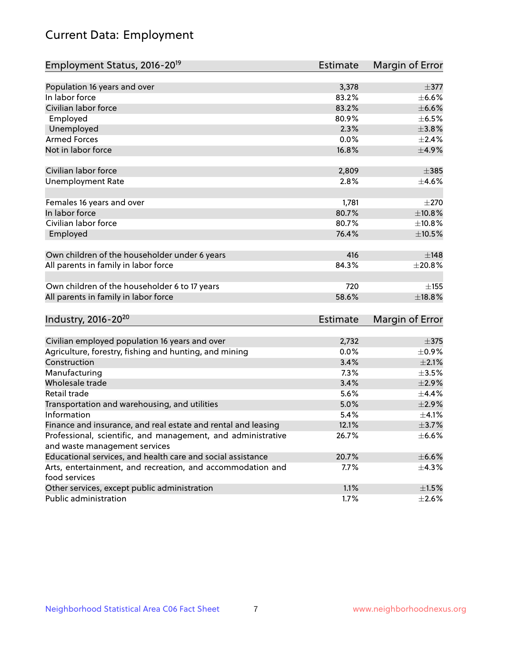# Current Data: Employment

| Employment Status, 2016-20 <sup>19</sup>                      | <b>Estimate</b> | Margin of Error |
|---------------------------------------------------------------|-----------------|-----------------|
|                                                               |                 |                 |
| Population 16 years and over                                  | 3,378           | $\pm$ 377       |
| In labor force                                                | 83.2%           | $\pm$ 6.6%      |
| Civilian labor force                                          | 83.2%           | $\pm$ 6.6%      |
| Employed                                                      | 80.9%           | $\pm$ 6.5%      |
| Unemployed                                                    | 2.3%            | $\pm 3.8\%$     |
| <b>Armed Forces</b>                                           | 0.0%            | $\pm 2.4\%$     |
| Not in labor force                                            | 16.8%           | $\pm$ 4.9%      |
| Civilian labor force                                          | 2,809           | $\pm$ 385       |
| <b>Unemployment Rate</b>                                      | 2.8%            | $\pm 4.6\%$     |
|                                                               |                 |                 |
| Females 16 years and over<br>In labor force                   | 1,781<br>80.7%  | ±270<br>±10.8%  |
| Civilian labor force                                          | 80.7%           | ±10.8%          |
|                                                               |                 |                 |
| Employed                                                      | 76.4%           | $\pm 10.5\%$    |
| Own children of the householder under 6 years                 | 416             | ±148            |
| All parents in family in labor force                          | 84.3%           | ±20.8%          |
|                                                               |                 |                 |
| Own children of the householder 6 to 17 years                 | 720             | ±155            |
| All parents in family in labor force                          | 58.6%           | ±18.8%          |
| Industry, 2016-20 <sup>20</sup>                               | Estimate        | Margin of Error |
|                                                               |                 |                 |
| Civilian employed population 16 years and over                | 2,732           | $\pm$ 375       |
| Agriculture, forestry, fishing and hunting, and mining        | 0.0%            | $\pm$ 0.9%      |
| Construction                                                  | 3.4%            | $\pm 2.1\%$     |
| Manufacturing                                                 | 7.3%            | $\pm 3.5\%$     |
| Wholesale trade                                               | 3.4%            | $\pm 2.9\%$     |
| Retail trade                                                  | 5.6%            | ±4.4%           |
| Transportation and warehousing, and utilities                 | 5.0%            | $\pm 2.9\%$     |
| Information                                                   | 5.4%            | $\pm$ 4.1%      |
| Finance and insurance, and real estate and rental and leasing | 12.1%           | $\pm$ 3.7%      |
| Professional, scientific, and management, and administrative  | 26.7%           | $\pm$ 6.6%      |
| and waste management services                                 |                 |                 |
| Educational services, and health care and social assistance   | 20.7%           | $\pm$ 6.6%      |
| Arts, entertainment, and recreation, and accommodation and    | 7.7%            | $\pm$ 4.3%      |
| food services                                                 |                 |                 |
| Other services, except public administration                  | 1.1%            | $\pm 1.5\%$     |
| Public administration                                         | 1.7%            | $\pm 2.6\%$     |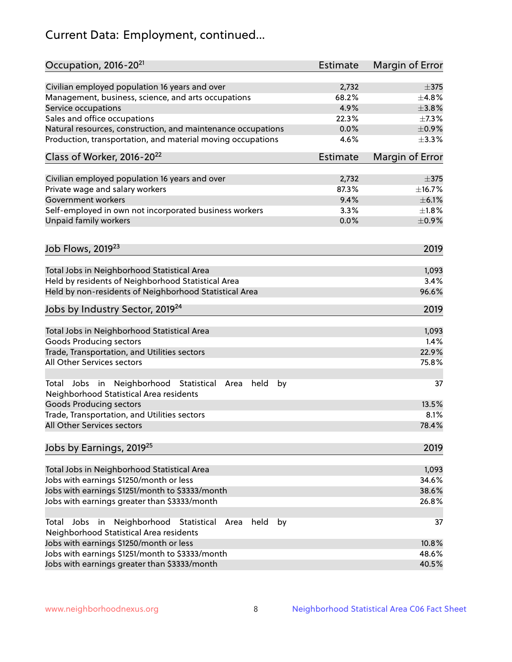# Current Data: Employment, continued...

| Occupation, 2016-20 <sup>21</sup>                                                                       | <b>Estimate</b> | Margin of Error |
|---------------------------------------------------------------------------------------------------------|-----------------|-----------------|
| Civilian employed population 16 years and over                                                          | 2,732           | $\pm$ 375       |
| Management, business, science, and arts occupations                                                     | 68.2%           | ±4.8%           |
| Service occupations                                                                                     | 4.9%            | $\pm 3.8\%$     |
| Sales and office occupations                                                                            | 22.3%           | $\pm$ 7.3%      |
| Natural resources, construction, and maintenance occupations                                            | 0.0%            | $\pm$ 0.9%      |
| Production, transportation, and material moving occupations                                             | 4.6%            | $\pm$ 3.3%      |
| Class of Worker, 2016-20 <sup>22</sup>                                                                  | Estimate        | Margin of Error |
| Civilian employed population 16 years and over                                                          | 2,732           | $\pm$ 375       |
| Private wage and salary workers                                                                         | 87.3%           | ±16.7%          |
| Government workers                                                                                      | 9.4%            | $\pm$ 6.1%      |
| Self-employed in own not incorporated business workers                                                  | 3.3%            | $\pm1.8\%$      |
| Unpaid family workers                                                                                   | 0.0%            | $\pm$ 0.9%      |
|                                                                                                         |                 |                 |
| Job Flows, 2019 <sup>23</sup>                                                                           |                 | 2019            |
| Total Jobs in Neighborhood Statistical Area                                                             |                 | 1,093           |
| Held by residents of Neighborhood Statistical Area                                                      |                 | 3.4%            |
| Held by non-residents of Neighborhood Statistical Area                                                  |                 | 96.6%           |
| Jobs by Industry Sector, 2019 <sup>24</sup>                                                             |                 | 2019            |
| Total Jobs in Neighborhood Statistical Area                                                             |                 | 1,093           |
| <b>Goods Producing sectors</b>                                                                          |                 | 1.4%            |
| Trade, Transportation, and Utilities sectors                                                            |                 | 22.9%           |
| All Other Services sectors                                                                              |                 | 75.8%           |
| Total Jobs in Neighborhood Statistical<br>held<br>by<br>Area<br>Neighborhood Statistical Area residents |                 | 37              |
| <b>Goods Producing sectors</b>                                                                          |                 | 13.5%           |
| Trade, Transportation, and Utilities sectors                                                            |                 | 8.1%            |
| All Other Services sectors                                                                              |                 | 78.4%           |
| Jobs by Earnings, 2019 <sup>25</sup>                                                                    |                 | 2019            |
| Total Jobs in Neighborhood Statistical Area                                                             |                 | 1,093           |
| Jobs with earnings \$1250/month or less                                                                 |                 | 34.6%           |
| Jobs with earnings \$1251/month to \$3333/month                                                         |                 | 38.6%           |
| Jobs with earnings greater than \$3333/month                                                            |                 | 26.8%           |
| Neighborhood Statistical<br>Jobs<br>in<br>held<br>by<br>Total<br>Area                                   |                 | 37              |
| Neighborhood Statistical Area residents                                                                 |                 |                 |
| Jobs with earnings \$1250/month or less                                                                 |                 | 10.8%           |
| Jobs with earnings \$1251/month to \$3333/month                                                         |                 | 48.6%           |
| Jobs with earnings greater than \$3333/month                                                            |                 | 40.5%           |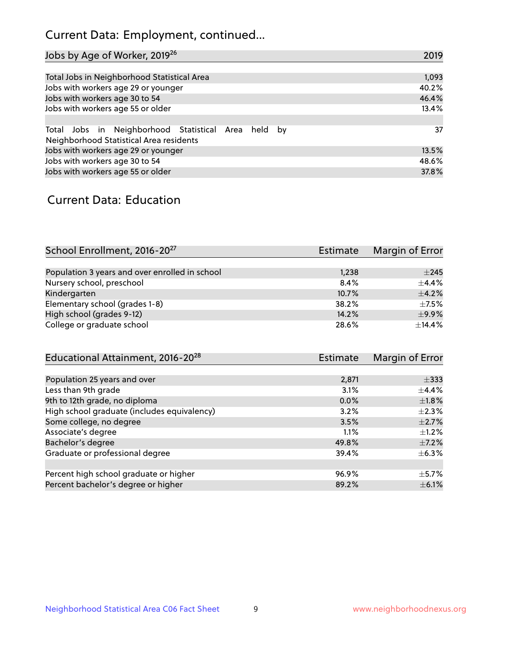# Current Data: Employment, continued...

| Jobs by Age of Worker, 2019 <sup>26</sup>                                                      | 2019  |
|------------------------------------------------------------------------------------------------|-------|
|                                                                                                |       |
| Total Jobs in Neighborhood Statistical Area                                                    | 1,093 |
| Jobs with workers age 29 or younger                                                            | 40.2% |
| Jobs with workers age 30 to 54                                                                 | 46.4% |
| Jobs with workers age 55 or older                                                              | 13.4% |
|                                                                                                |       |
| Total Jobs in Neighborhood Statistical Area held by<br>Neighborhood Statistical Area residents | 37    |
| Jobs with workers age 29 or younger                                                            | 13.5% |
| Jobs with workers age 30 to 54                                                                 | 48.6% |
| Jobs with workers age 55 or older                                                              | 37.8% |

### Current Data: Education

| School Enrollment, 2016-20 <sup>27</sup>       | Estimate | Margin of Error |
|------------------------------------------------|----------|-----------------|
|                                                |          |                 |
| Population 3 years and over enrolled in school | 1,238    | $\pm 245$       |
| Nursery school, preschool                      | 8.4%     | $+4.4%$         |
| Kindergarten                                   | 10.7%    | $+4.2%$         |
| Elementary school (grades 1-8)                 | 38.2%    | $\pm$ 7.5%      |
| High school (grades 9-12)                      | 14.2%    | $\pm$ 9.9%      |
| College or graduate school                     | 28.6%    | ±14.4%          |

| Educational Attainment, 2016-20 <sup>28</sup> | Estimate | Margin of Error |
|-----------------------------------------------|----------|-----------------|
|                                               |          |                 |
| Population 25 years and over                  | 2,871    | $\pm$ 333       |
| Less than 9th grade                           | 3.1%     | $\pm$ 4.4%      |
| 9th to 12th grade, no diploma                 | 0.0%     | $\pm1.8\%$      |
| High school graduate (includes equivalency)   | 3.2%     | $\pm 2.3\%$     |
| Some college, no degree                       | 3.5%     | $\pm 2.7\%$     |
| Associate's degree                            | 1.1%     | $\pm 1.2\%$     |
| Bachelor's degree                             | 49.8%    | $\pm$ 7.2%      |
| Graduate or professional degree               | 39.4%    | $\pm$ 6.3%      |
|                                               |          |                 |
| Percent high school graduate or higher        | 96.9%    | $\pm$ 5.7%      |
| Percent bachelor's degree or higher           | 89.2%    | $\pm$ 6.1%      |
|                                               |          |                 |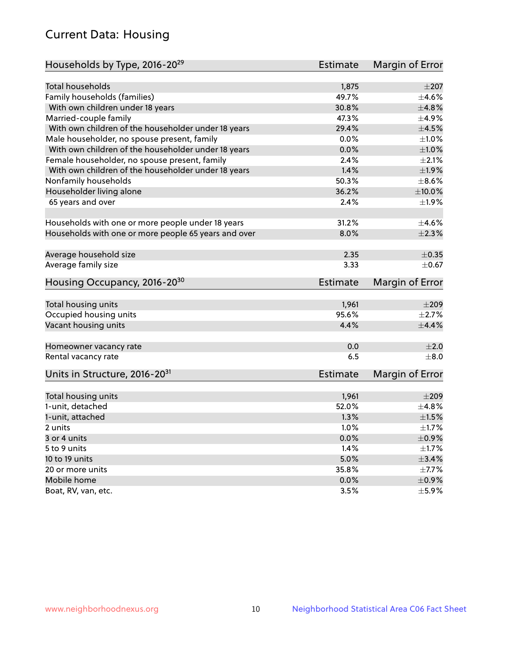# Current Data: Housing

| Households by Type, 2016-20 <sup>29</sup>            | <b>Estimate</b> | Margin of Error |
|------------------------------------------------------|-----------------|-----------------|
|                                                      |                 |                 |
| <b>Total households</b>                              | 1,875           | $\pm 207$       |
| Family households (families)                         | 49.7%           | $\pm$ 4.6%      |
| With own children under 18 years                     | 30.8%           | ±4.8%           |
| Married-couple family                                | 47.3%           | $\pm$ 4.9%      |
| With own children of the householder under 18 years  | 29.4%           | $\pm 4.5\%$     |
| Male householder, no spouse present, family          | 0.0%            | $\pm 1.0\%$     |
| With own children of the householder under 18 years  | 0.0%            | $\pm1.0\%$      |
| Female householder, no spouse present, family        | 2.4%            | $\pm 2.1\%$     |
| With own children of the householder under 18 years  | 1.4%            | $\pm 1.9\%$     |
| Nonfamily households                                 | 50.3%           | $\pm$ 8.6%      |
| Householder living alone                             | 36.2%           | $\pm 10.0\%$    |
| 65 years and over                                    | 2.4%            | ±1.9%           |
|                                                      |                 |                 |
| Households with one or more people under 18 years    | 31.2%           | $\pm$ 4.6%      |
| Households with one or more people 65 years and over | 8.0%            | $\pm 2.3\%$     |
| Average household size                               | 2.35            | $\pm$ 0.35      |
| Average family size                                  | 3.33            | $\pm$ 0.67      |
|                                                      |                 |                 |
| Housing Occupancy, 2016-20 <sup>30</sup>             | <b>Estimate</b> | Margin of Error |
| Total housing units                                  | 1,961           | $\pm 209$       |
| Occupied housing units                               | 95.6%           | $\pm 2.7\%$     |
| Vacant housing units                                 | 4.4%            | $\pm$ 4.4%      |
|                                                      |                 |                 |
| Homeowner vacancy rate                               | 0.0             | $\pm 2.0$       |
| Rental vacancy rate                                  | 6.5             | $\pm 8.0$       |
| Units in Structure, 2016-20 <sup>31</sup>            | <b>Estimate</b> | Margin of Error |
|                                                      |                 |                 |
| Total housing units                                  | 1,961           | $\pm 209$       |
| 1-unit, detached                                     | 52.0%           | ±4.8%           |
| 1-unit, attached                                     | 1.3%            | $\pm1.5\%$      |
| 2 units                                              | 1.0%            | $\pm 1.7\%$     |
| 3 or 4 units                                         | 0.0%            | $\pm$ 0.9%      |
| 5 to 9 units                                         | 1.4%            | $\pm 1.7\%$     |
| 10 to 19 units                                       | 5.0%            | $\pm$ 3.4%      |
| 20 or more units                                     | 35.8%           | $\pm$ 7.7%      |
| Mobile home                                          | 0.0%            | $\pm$ 0.9%      |
| Boat, RV, van, etc.                                  | 3.5%            | $\pm$ 5.9%      |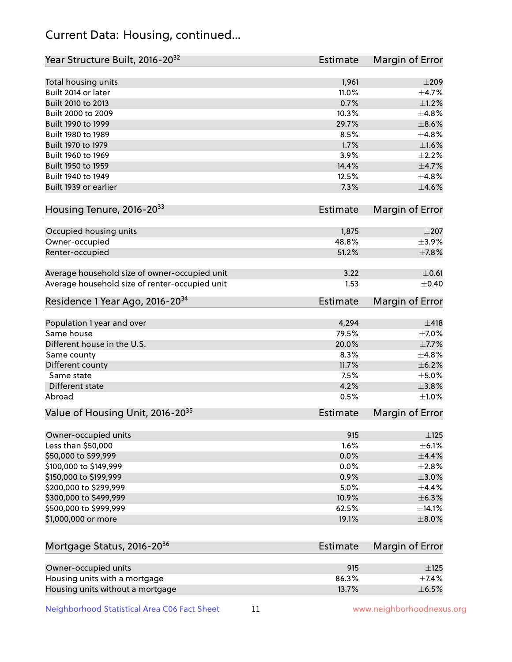# Current Data: Housing, continued...

| Year Structure Built, 2016-20 <sup>32</sup>    | <b>Estimate</b> | Margin of Error |
|------------------------------------------------|-----------------|-----------------|
| Total housing units                            | 1,961           | $\pm 209$       |
| Built 2014 or later                            | 11.0%           | $\pm$ 4.7%      |
| Built 2010 to 2013                             | 0.7%            | $\pm 1.2\%$     |
| Built 2000 to 2009                             | 10.3%           | ±4.8%           |
| Built 1990 to 1999                             | 29.7%           | $\pm$ 8.6%      |
| Built 1980 to 1989                             | 8.5%            | ±4.8%           |
| Built 1970 to 1979                             | 1.7%            | $\pm1.6\%$      |
| Built 1960 to 1969                             | 3.9%            | $\pm 2.2\%$     |
| Built 1950 to 1959                             | 14.4%           | $\pm$ 4.7%      |
| Built 1940 to 1949                             | 12.5%           | ±4.8%           |
| Built 1939 or earlier                          | 7.3%            | $\pm$ 4.6%      |
| Housing Tenure, 2016-2033                      | <b>Estimate</b> | Margin of Error |
| Occupied housing units                         | 1,875           | $\pm 207$       |
| Owner-occupied                                 | 48.8%           | $\pm$ 3.9%      |
| Renter-occupied                                | 51.2%           | ±7.8%           |
| Average household size of owner-occupied unit  | 3.22            | $\pm$ 0.61      |
| Average household size of renter-occupied unit | 1.53            | $\pm$ 0.40      |
| Residence 1 Year Ago, 2016-20 <sup>34</sup>    | <b>Estimate</b> | Margin of Error |
| Population 1 year and over                     | 4,294           | ±418            |
| Same house                                     | 79.5%           | $\pm$ 7.0%      |
| Different house in the U.S.                    | 20.0%           | $\pm$ 7.7%      |
| Same county                                    | 8.3%            | ±4.8%           |
| Different county                               | 11.7%           | $\pm$ 6.2%      |
| Same state                                     | 7.5%            | $\pm$ 5.0%      |
| Different state                                | 4.2%            | $\pm$ 3.8%      |
| Abroad                                         | 0.5%            | $\pm 1.0\%$     |
| Value of Housing Unit, 2016-20 <sup>35</sup>   | <b>Estimate</b> | Margin of Error |
| Owner-occupied units                           | 915             | $\pm$ 125       |
| Less than \$50,000                             | 1.6%            | $\pm$ 6.1%      |
| \$50,000 to \$99,999                           | 0.0%            | $\pm$ 4.4%      |
| \$100,000 to \$149,999                         | 0.0%            | ±2.8%           |
| \$150,000 to \$199,999                         | 0.9%            | $\pm 3.0\%$     |
| \$200,000 to \$299,999                         | 5.0%            | ±4.4%           |
| \$300,000 to \$499,999                         | 10.9%           | $\pm$ 6.3%      |
| \$500,000 to \$999,999                         | 62.5%           | ±14.1%          |
| \$1,000,000 or more                            | 19.1%           | $\pm$ 8.0%      |
|                                                |                 |                 |
| Mortgage Status, 2016-20 <sup>36</sup>         | <b>Estimate</b> | Margin of Error |
| Owner-occupied units                           | 915             | $\pm$ 125       |
| Housing units with a mortgage                  | 86.3%           | $\pm$ 7.4%      |
| Housing units without a mortgage               | 13.7%           | $\pm$ 6.5%      |

Neighborhood Statistical Area C06 Fact Sheet 11 11 www.neighborhoodnexus.org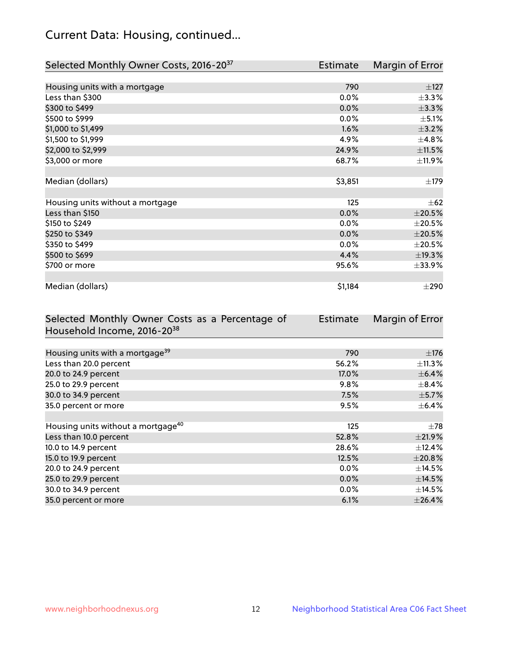# Current Data: Housing, continued...

| Selected Monthly Owner Costs, 2016-20 <sup>37</sup> | <b>Estimate</b> | Margin of Error |
|-----------------------------------------------------|-----------------|-----------------|
|                                                     |                 |                 |
| Housing units with a mortgage                       | 790             | $\pm$ 127       |
| Less than \$300                                     | 0.0%            | $\pm$ 3.3%      |
| \$300 to \$499                                      | 0.0%            | ±3.3%           |
| \$500 to \$999                                      | $0.0\%$         | $\pm$ 5.1%      |
| \$1,000 to \$1,499                                  | 1.6%            | $\pm$ 3.2%      |
| \$1,500 to \$1,999                                  | 4.9%            | ±4.8%           |
| \$2,000 to \$2,999                                  | 24.9%           | ±11.5%          |
| \$3,000 or more                                     | 68.7%           | ±11.9%          |
|                                                     |                 |                 |
| Median (dollars)                                    | \$3,851         | $\pm$ 179       |
|                                                     |                 |                 |
| Housing units without a mortgage                    | 125             | $\pm 62$        |
| Less than \$150                                     | 0.0%            | $\pm 20.5\%$    |
| \$150 to \$249                                      | 0.0%            | $\pm 20.5\%$    |
| \$250 to \$349                                      | 0.0%            | $\pm 20.5\%$    |
| \$350 to \$499                                      | 0.0%            | $\pm 20.5\%$    |
| \$500 to \$699                                      | 4.4%            | ±19.3%          |
| \$700 or more                                       | 95.6%           | $\pm$ 33.9%     |
|                                                     |                 |                 |
| Median (dollars)                                    | \$1,184         | $\pm 290$       |

| Selected Monthly Owner Costs as a Percentage of | Estimate | Margin of Error |
|-------------------------------------------------|----------|-----------------|
| Household Income, 2016-2038                     |          |                 |
|                                                 |          |                 |
| Housing units with a mortgage <sup>39</sup>     | 790      | $\pm$ 176       |
| Less than 20.0 percent                          | 56.2%    | $\pm$ 11.3%     |
| 20.0 to 24.9 percent                            | 17.0%    | $\pm$ 6.4%      |
| 25.0 to 29.9 percent                            | 9.8%     | $\pm$ 8.4%      |
| 30.0 to 34.9 percent                            | 7.5%     | $\pm$ 5.7%      |
| 35.0 percent or more                            | 9.5%     | $\pm$ 6.4%      |
|                                                 |          |                 |
| Housing units without a mortgage <sup>40</sup>  | 125      | $\pm 78$        |
| Less than 10.0 percent                          | 52.8%    | ±21.9%          |
| 10.0 to 14.9 percent                            | 28.6%    | $\pm$ 12.4%     |
| 15.0 to 19.9 percent                            | 12.5%    | ±20.8%          |
| 20.0 to 24.9 percent                            | $0.0\%$  | $\pm$ 14.5%     |
| 25.0 to 29.9 percent                            | $0.0\%$  | $\pm$ 14.5%     |
| 30.0 to 34.9 percent                            | $0.0\%$  | $\pm$ 14.5%     |
| 35.0 percent or more                            | 6.1%     | ±26.4%          |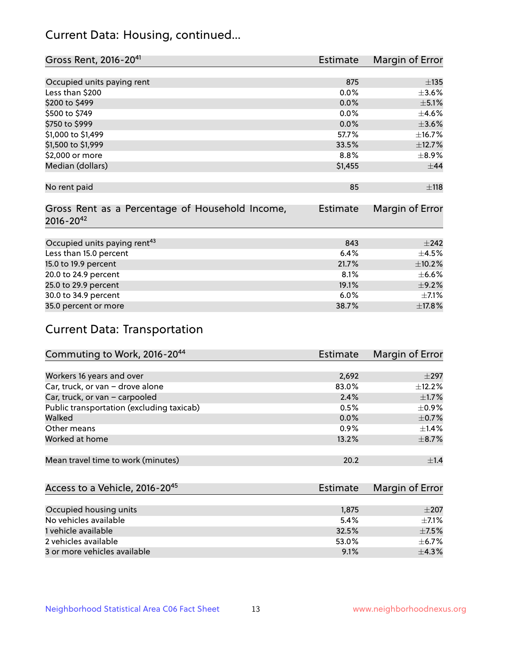# Current Data: Housing, continued...

| Gross Rent, 2016-20 <sup>41</sup>               | <b>Estimate</b> | Margin of Error |
|-------------------------------------------------|-----------------|-----------------|
|                                                 |                 |                 |
| Occupied units paying rent                      | 875             | $\pm$ 135       |
| Less than \$200                                 | 0.0%            | $\pm 3.6\%$     |
| \$200 to \$499                                  | 0.0%            | $\pm$ 5.1%      |
| \$500 to \$749                                  | 0.0%            | $\pm$ 4.6%      |
| \$750 to \$999                                  | 0.0%            | $\pm 3.6\%$     |
| \$1,000 to \$1,499                              | 57.7%           | ±16.7%          |
| \$1,500 to \$1,999                              | 33.5%           | ±12.7%          |
| \$2,000 or more                                 | 8.8%            | $\pm$ 8.9%      |
| Median (dollars)                                | \$1,455         | $\pm$ 44        |
|                                                 |                 |                 |
| No rent paid                                    | 85              | $\pm$ 118       |
|                                                 |                 |                 |
| Gross Rent as a Percentage of Household Income, | <b>Estimate</b> | Margin of Error |
| $2016 - 20^{42}$                                |                 |                 |
|                                                 |                 |                 |
| Occupied units paying rent <sup>43</sup>        | 843             | $\pm 242$       |
| Less than 15.0 percent                          | 6.4%            | $\pm$ 4.5%      |
| 15.0 to 19.9 percent                            | 21.7%           | $\pm$ 10.2%     |
| 20.0 to 24.9 percent                            | 8.1%            | $\pm$ 6.6%      |
| 25.0 to 29.9 percent                            | 19.1%           | $\pm$ 9.2%      |
| 30.0 to 34.9 percent                            | 6.0%            | $\pm$ 7.1%      |
| 35.0 percent or more                            | 38.7%           | ±17.8%          |

# Current Data: Transportation

| Commuting to Work, 2016-20 <sup>44</sup>  | <b>Estimate</b> | Margin of Error |
|-------------------------------------------|-----------------|-----------------|
|                                           |                 |                 |
| Workers 16 years and over                 | 2,692           | $\pm$ 297       |
| Car, truck, or van - drove alone          | 83.0%           | $\pm$ 12.2%     |
| Car, truck, or van - carpooled            | 2.4%            | $\pm$ 1.7%      |
| Public transportation (excluding taxicab) | 0.5%            | $\pm$ 0.9%      |
| Walked                                    | $0.0\%$         | $\pm$ 0.7%      |
| Other means                               | 0.9%            | $\pm$ 1.4%      |
| Worked at home                            | 13.2%           | $\pm$ 8.7%      |
|                                           |                 |                 |
| Mean travel time to work (minutes)        | 20.2            | ±1.4            |

| Access to a Vehicle, 2016-20 <sup>45</sup> | Estimate | Margin of Error |
|--------------------------------------------|----------|-----------------|
|                                            |          |                 |
| Occupied housing units                     | 1,875    | $\pm 207$       |
| No vehicles available                      | 5.4%     | $+7.1%$         |
| 1 vehicle available                        | 32.5%    | $\pm$ 7.5%      |
| 2 vehicles available                       | 53.0%    | $\pm$ 6.7%      |
| 3 or more vehicles available               | 9.1%     | $+4.3%$         |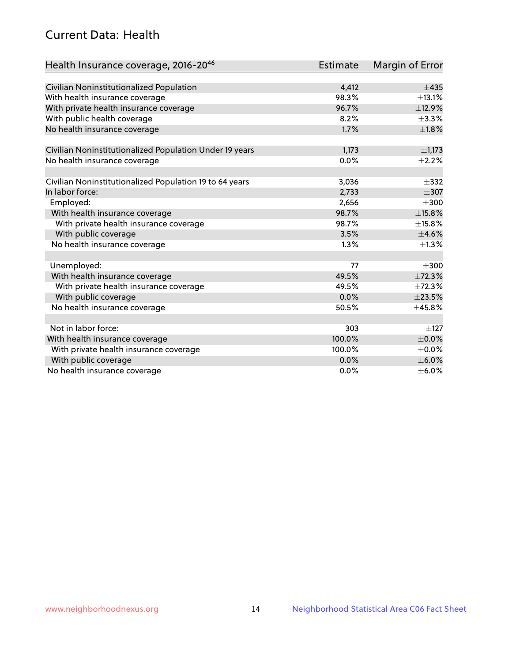# Current Data: Health

| Health Insurance coverage, 2016-2046                    | <b>Estimate</b> | Margin of Error |
|---------------------------------------------------------|-----------------|-----------------|
|                                                         |                 |                 |
| Civilian Noninstitutionalized Population                | 4,412           | $\pm$ 435       |
| With health insurance coverage                          | 98.3%           | $\pm$ 13.1%     |
| With private health insurance coverage                  | 96.7%           | ±12.9%          |
| With public health coverage                             | 8.2%            | $\pm$ 3.3%      |
| No health insurance coverage                            | 1.7%            | $\pm1.8\%$      |
| Civilian Noninstitutionalized Population Under 19 years | 1,173           | $\pm$ 1,173     |
| No health insurance coverage                            | 0.0%            | $\pm 2.2\%$     |
|                                                         |                 |                 |
| Civilian Noninstitutionalized Population 19 to 64 years | 3,036           | $\pm$ 332       |
| In labor force:                                         | 2,733           | $\pm$ 307       |
| Employed:                                               | 2,656           | $\pm 300$       |
| With health insurance coverage                          | 98.7%           | ±15.8%          |
| With private health insurance coverage                  | 98.7%           | ±15.8%          |
| With public coverage                                    | 3.5%            | $\pm$ 4.6%      |
| No health insurance coverage                            | 1.3%            | $\pm 1.3\%$     |
|                                                         |                 |                 |
| Unemployed:                                             | 77              | $\pm 300$       |
| With health insurance coverage                          | 49.5%           | ±72.3%          |
| With private health insurance coverage                  | 49.5%           | ±72.3%          |
| With public coverage                                    | 0.0%            | $\pm 23.5\%$    |
| No health insurance coverage                            | 50.5%           | ±45.8%          |
|                                                         |                 |                 |
| Not in labor force:                                     | 303             | $\pm$ 127       |
| With health insurance coverage                          | 100.0%          | $\pm$ 0.0%      |
| With private health insurance coverage                  | 100.0%          | $\pm$ 0.0%      |
| With public coverage                                    | 0.0%            | $\pm$ 6.0%      |
| No health insurance coverage                            | $0.0\%$         | $\pm$ 6.0%      |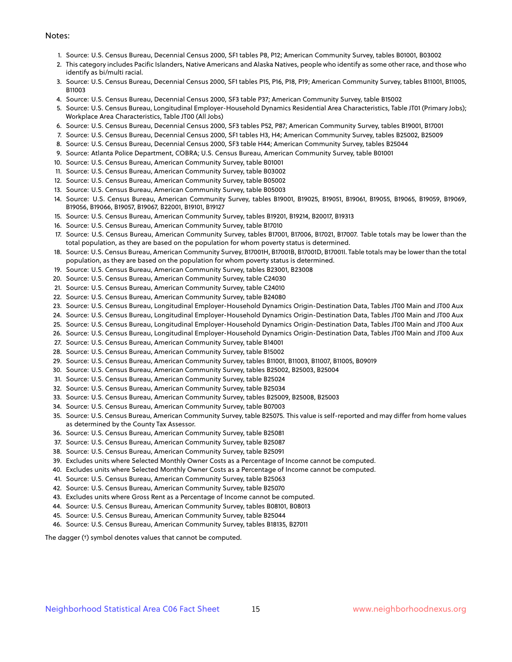#### Notes:

- 1. Source: U.S. Census Bureau, Decennial Census 2000, SF1 tables P8, P12; American Community Survey, tables B01001, B03002
- 2. This category includes Pacific Islanders, Native Americans and Alaska Natives, people who identify as some other race, and those who identify as bi/multi racial.
- 3. Source: U.S. Census Bureau, Decennial Census 2000, SF1 tables P15, P16, P18, P19; American Community Survey, tables B11001, B11005, B11003
- 4. Source: U.S. Census Bureau, Decennial Census 2000, SF3 table P37; American Community Survey, table B15002
- 5. Source: U.S. Census Bureau, Longitudinal Employer-Household Dynamics Residential Area Characteristics, Table JT01 (Primary Jobs); Workplace Area Characteristics, Table JT00 (All Jobs)
- 6. Source: U.S. Census Bureau, Decennial Census 2000, SF3 tables P52, P87; American Community Survey, tables B19001, B17001
- 7. Source: U.S. Census Bureau, Decennial Census 2000, SF1 tables H3, H4; American Community Survey, tables B25002, B25009
- 8. Source: U.S. Census Bureau, Decennial Census 2000, SF3 table H44; American Community Survey, tables B25044
- 9. Source: Atlanta Police Department, COBRA; U.S. Census Bureau, American Community Survey, table B01001
- 10. Source: U.S. Census Bureau, American Community Survey, table B01001
- 11. Source: U.S. Census Bureau, American Community Survey, table B03002
- 12. Source: U.S. Census Bureau, American Community Survey, table B05002
- 13. Source: U.S. Census Bureau, American Community Survey, table B05003
- 14. Source: U.S. Census Bureau, American Community Survey, tables B19001, B19025, B19051, B19061, B19055, B19065, B19059, B19069, B19056, B19066, B19057, B19067, B22001, B19101, B19127
- 15. Source: U.S. Census Bureau, American Community Survey, tables B19201, B19214, B20017, B19313
- 16. Source: U.S. Census Bureau, American Community Survey, table B17010
- 17. Source: U.S. Census Bureau, American Community Survey, tables B17001, B17006, B17021, B17007. Table totals may be lower than the total population, as they are based on the population for whom poverty status is determined.
- 18. Source: U.S. Census Bureau, American Community Survey, B17001H, B17001B, B17001D, B17001I. Table totals may be lower than the total population, as they are based on the population for whom poverty status is determined.
- 19. Source: U.S. Census Bureau, American Community Survey, tables B23001, B23008
- 20. Source: U.S. Census Bureau, American Community Survey, table C24030
- 21. Source: U.S. Census Bureau, American Community Survey, table C24010
- 22. Source: U.S. Census Bureau, American Community Survey, table B24080
- 23. Source: U.S. Census Bureau, Longitudinal Employer-Household Dynamics Origin-Destination Data, Tables JT00 Main and JT00 Aux
- 24. Source: U.S. Census Bureau, Longitudinal Employer-Household Dynamics Origin-Destination Data, Tables JT00 Main and JT00 Aux
- 25. Source: U.S. Census Bureau, Longitudinal Employer-Household Dynamics Origin-Destination Data, Tables JT00 Main and JT00 Aux
- 26. Source: U.S. Census Bureau, Longitudinal Employer-Household Dynamics Origin-Destination Data, Tables JT00 Main and JT00 Aux
- 27. Source: U.S. Census Bureau, American Community Survey, table B14001
- 28. Source: U.S. Census Bureau, American Community Survey, table B15002
- 29. Source: U.S. Census Bureau, American Community Survey, tables B11001, B11003, B11007, B11005, B09019
- 30. Source: U.S. Census Bureau, American Community Survey, tables B25002, B25003, B25004
- 31. Source: U.S. Census Bureau, American Community Survey, table B25024
- 32. Source: U.S. Census Bureau, American Community Survey, table B25034
- 33. Source: U.S. Census Bureau, American Community Survey, tables B25009, B25008, B25003
- 34. Source: U.S. Census Bureau, American Community Survey, table B07003
- 35. Source: U.S. Census Bureau, American Community Survey, table B25075. This value is self-reported and may differ from home values as determined by the County Tax Assessor.
- 36. Source: U.S. Census Bureau, American Community Survey, table B25081
- 37. Source: U.S. Census Bureau, American Community Survey, table B25087
- 38. Source: U.S. Census Bureau, American Community Survey, table B25091
- 39. Excludes units where Selected Monthly Owner Costs as a Percentage of Income cannot be computed.
- 40. Excludes units where Selected Monthly Owner Costs as a Percentage of Income cannot be computed.
- 41. Source: U.S. Census Bureau, American Community Survey, table B25063
- 42. Source: U.S. Census Bureau, American Community Survey, table B25070
- 43. Excludes units where Gross Rent as a Percentage of Income cannot be computed.
- 44. Source: U.S. Census Bureau, American Community Survey, tables B08101, B08013
- 45. Source: U.S. Census Bureau, American Community Survey, table B25044
- 46. Source: U.S. Census Bureau, American Community Survey, tables B18135, B27011

The dagger (†) symbol denotes values that cannot be computed.